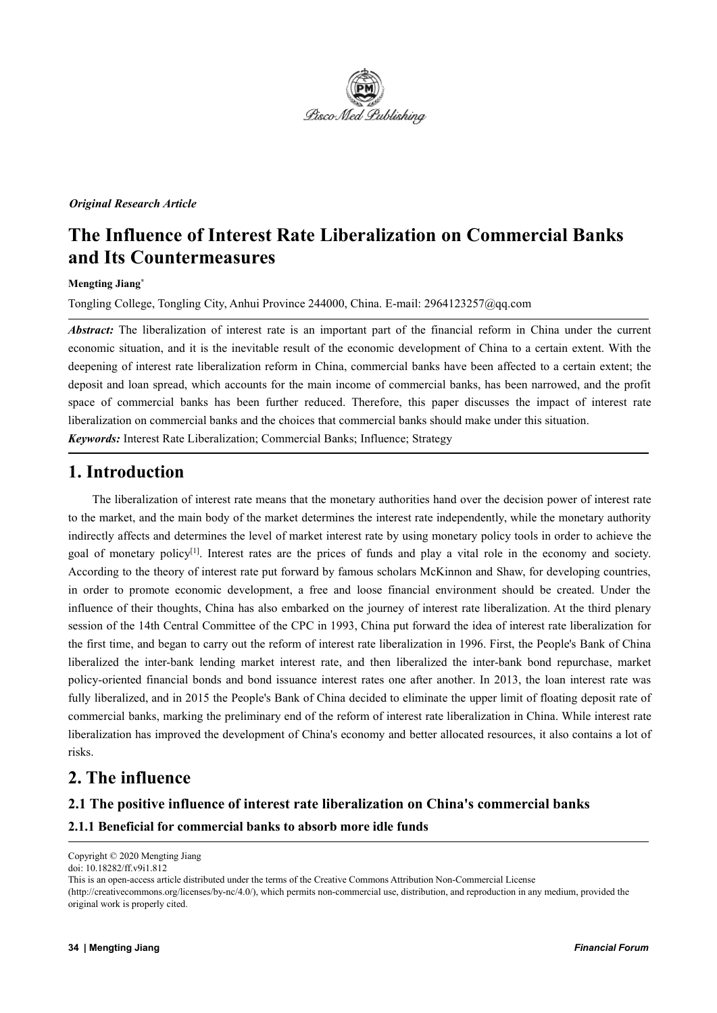

#### *Original Research Article*

# **The Influence of Interest Rate Liberalization on Commercial Banks and Its Countermeasures**

#### **Mengting Jiang \***

Tongling College, Tongling City, Anhui Province 244000, China. E-mail: 2964123257@qq.com

*Abstract:* The liberalization of interest rate is an important part of the financial reform in China under the current economic situation, and it is the inevitable result of the economic development of China to a certain extent. With the deepening of interest rate liberalization reform in China, commercial banks have been affected to a certain extent; the deposit and loan spread, which accounts for the main income of commercial banks, has been narrowed, and the profit space of commercial banks has been further reduced. Therefore, this paper discusses the impact of interest rate liberalization on commercial banks and the choices that commercial banks should make under this situation.

*Keywords:* Interest Rate Liberalization; Commercial Banks; Influence; Strategy

## **1. Introduction**

The liberalization of interest rate means that the monetary authorities hand over the decision power of interest rate to the market, and the main body of the market determines the interest rate independently, while the monetary authority indirectly affects and determines the level of market interest rate by using monetary policy tools in order to achieve the goal of monetary policy<sup>[1]</sup>. Interest rates are the prices of funds and play a vital role in the economy and society. According to the theory of interest rate put forward by famous scholars McKinnon and Shaw, for developing countries, in order to promote economic development, a free and loose financial environment should be created. Under the influence of their thoughts, China has also embarked on the journey of interest rate liberalization. At the third plenary session of the 14th Central Committee of the CPC in 1993, China put forward the idea of interest rate liberalization for the first time, and began to carry out the reform of interest rate liberalization in 1996. First, the People's Bank of China liberalized the inter-bank lending market interest rate, and then liberalized the inter-bank bond repurchase, market policy-oriented financial bonds and bond issuance interest rates one after another. In 2013, the loan interest rate was fully liberalized, and in 2015 the People's Bank of China decided to eliminate the upper limit of floating deposit rate of commercial banks, marking the preliminary end of the reform of interest rate liberalization in China. While interest rate liberalization has improved the development of China's economy and better allocated resources, it also contains a lotof risks.

## **2. The influence**

### **2.1 The positive influence of interest rate liberalization on China's commercial banks**

#### **2.1.1 Beneficial for commercial banks to absorb more idle funds**

original work is properly cited.

Copyright © 2020 Mengting Jiang

doi: 10.18282/ff.v9i1.812

This is an open-access article distributed under the terms of the Creative Commons Attribution Non-Commercial License (http://creativecommons.org/licenses/by-nc/4.0/), which permits non-commercial use, distribution, and reproduction in any medium, provided the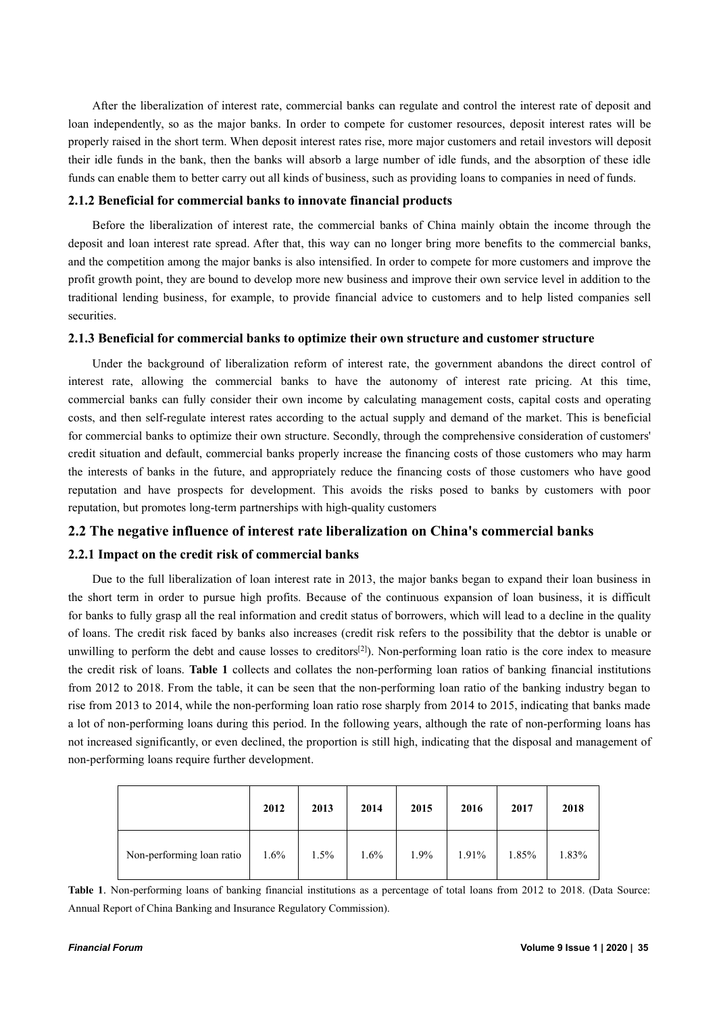After the liberalization of interest rate, commercial banks can regulate and control the interest rate of deposit and loan independently, so as the major banks. In order to compete for customer resources, deposit interest rates will be properly raised in the short term. When deposit interest rates rise, more major customers and retail investors will deposit their idle funds in the bank, then the banks will absorb a large number of idle funds, and the absorption of these idle funds can enable them to better carry out all kinds of business, such as providing loans to companies in need of funds.

#### **2.1.2 Beneficial for commercial banks to innovate financial products**

Before the liberalization of interest rate, the commercial banks of China mainly obtain the income through the deposit and loan interest rate spread. After that, this way can no longer bring more benefits to the commercial banks, and the competition among the major banks is also intensified. In order to compete for more customers and improve the profit growth point, they are bound to develop more new business and improve their own service level in addition to the traditional lending business, for example, to provide financial advice to customers and to help listed companies sell securities.

#### **2.1.3 Beneficial for commercial banks to optimize their own structure and customer structure**

Under the background of liberalization reform of interest rate, the government abandons the direct control of interest rate, allowing the commercial banks to have the autonomy of interest rate pricing. At this time, commercial banks can fully consider their own income by calculating management costs, capital costs and operating costs, and then self-regulate interest rates according to the actual supply and demand of the market. This is beneficial for commercial banks to optimize their own structure. Secondly, through the comprehensive consideration of customers' credit situation and default, commercial banks properly increase the financing costs of those customers who may harm the interests of banks in the future, and appropriately reduce the financing costs of those customers who have good reputation and have prospects for development. This avoids the risks posed to banks by customers with poor reputation, but promotes long-term partnerships with high-quality customers

#### **2.2 The negative influence of interest rate liberalization on China's commercial banks**

#### **2.2.1 Impact on the credit risk of commercial banks**

Due to the full liberalization of loan interest rate in 2013, the major banks began to expand their loan business in the short term in order to pursue high profits. Because of the continuous expansion of loan business, it is difficult for banks to fully grasp all the real information and credit status of borrowers, which will lead to a decline in the quality of loans. The credit risk faced by banks also increases (credit risk refers to the possibility that the debtor is unable or unwilling to perform the debt and cause losses to creditors<sup>[2]</sup>). Non-performing loan ratio is the core index to measure the credit risk of loans. **Table 1** collects and collates the non-performing loan ratios of banking financial institutions from 2012 to 2018. From the table, it can be seen that the non-performing loan ratio of the banking industry began to rise from 2013 to 2014, while the non-performing loan ratio rose sharply from 2014 to 2015, indicating that banks made a lot of non-performing loans during this period. In the following years, although the rate of non-performing loans has not increased significantly, or even declined, the proportion is still high, indicating that the disposal and management of non-performing loans require further development.

|                           | 2012 | 2013 | 2014 | 2015    | 2016  | 2017  | 2018  |
|---------------------------|------|------|------|---------|-------|-------|-------|
| Non-performing loan ratio | 1.6% | 1.5% | 1.6% | $1.9\%$ | 1.91% | 1.85% | 1.83% |

**Table 1**. Non-performing loans of banking financial institutions as a percentage of total loans from 2012 to 2018. (Data Source: Annual Report of China Banking and Insurance Regulatory Commission).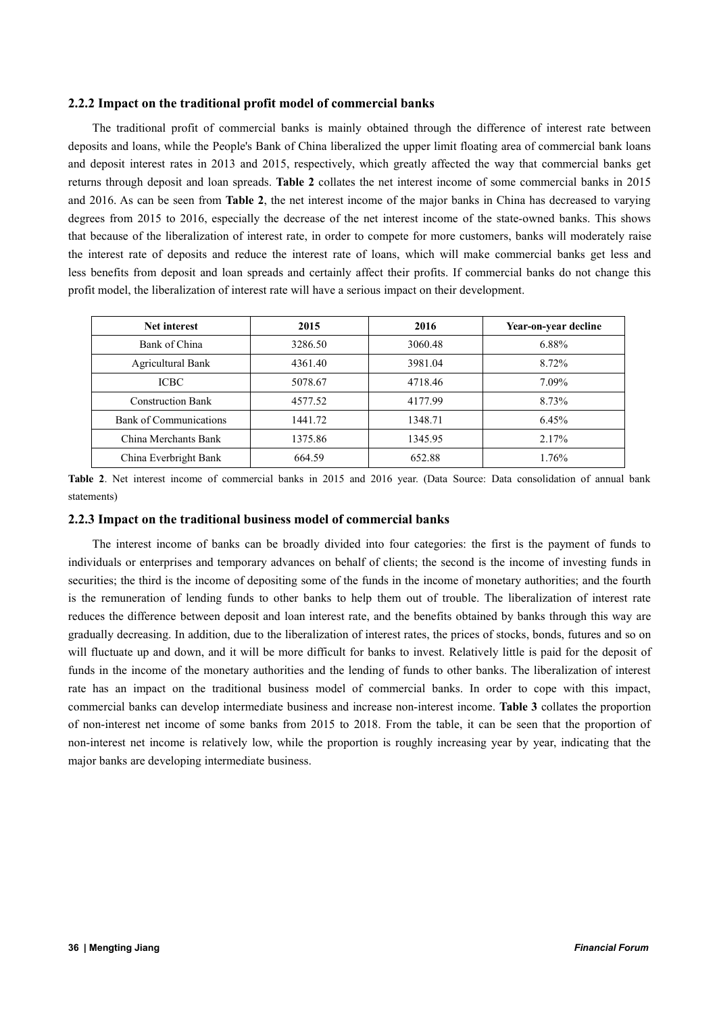#### **2.2.2 Impact on the traditional profit model of commercial banks**

The traditional profit of commercial banks is mainly obtained through the difference of interest rate between deposits and loans, while the People's Bank of China liberalized the upper limit floating area of commercial bank loans and deposit interest rates in 2013 and 2015, respectively, which greatly affected the way that commercial banks get returns through deposit and loan spreads. **Table 2** collates the net interest income of some commercial banks in 2015 and 2016. As can be seen from **Table 2**, the net interest income of the major banks in China has decreased to varying degrees from 2015 to 2016, especially the decrease of the net interest income of the state-owned banks. This shows that because of the liberalization of interest rate, in order to compete for more customers, banks will moderately raise the interest rate of deposits and reduce the interest rate of loans, which will make commercial banks get less and less benefits from deposit and loan spreads and certainly affect their profits. If commercial banks do not change this profit model, the liberalization of interest rate will have a serious impact on their development.

| <b>Net interest</b>      | 2015    | 2016    | Year-on-year decline |
|--------------------------|---------|---------|----------------------|
| Bank of China            | 3286.50 | 3060.48 | 6.88%                |
| <b>Agricultural Bank</b> | 4361.40 | 3981.04 | 8.72%                |
| <b>ICBC</b>              | 5078.67 | 4718.46 | 7.09%                |
| <b>Construction Bank</b> | 4577.52 | 4177.99 | 8.73%                |
| Bank of Communications   | 1441.72 | 1348.71 | 6.45%                |
| China Merchants Bank     | 1375.86 | 1345.95 | 2.17%                |
| China Everbright Bank    | 664.59  | 652.88  | 1.76%                |

Table 2. Net interest income of commercial banks in 2015 and 2016 year. (Data Source: Data consolidation of annual bank statements)

#### **2.2.3 Impact on the traditional business model of commercial banks**

The interest income of banks can be broadly divided into four categories: the first is the payment of funds to individuals or enterprises and temporary advances on behalf of clients; the second is the income of investing funds in securities; the third is the income of depositing some of the funds in the income of monetary authorities; and the fourth is the remuneration of lending funds to other banks to help them out of trouble. The liberalization of interest rate reduces the difference between deposit and loan interest rate, and the benefits obtained by banks through this way are gradually decreasing. In addition, due to the liberalization of interest rates, the prices of stocks, bonds, futures and so on will fluctuate up and down, and it will be more difficult for banks to invest. Relatively little is paid for the deposit of funds in the income of the monetary authorities and the lending of funds to other banks. The liberalization of interest rate has an impact on the traditional business model of commercial banks. In order to cope with this impact, commercial banks can develop intermediate business and increase non-interest income. **Table 3** collates the proportion of non-interest net income of some banks from 2015 to 2018. From the table, it can be seen that the proportion of non-interest net income is relatively low, while the proportion is roughly increasing year by year, indicating that the major banks are developing intermediate business.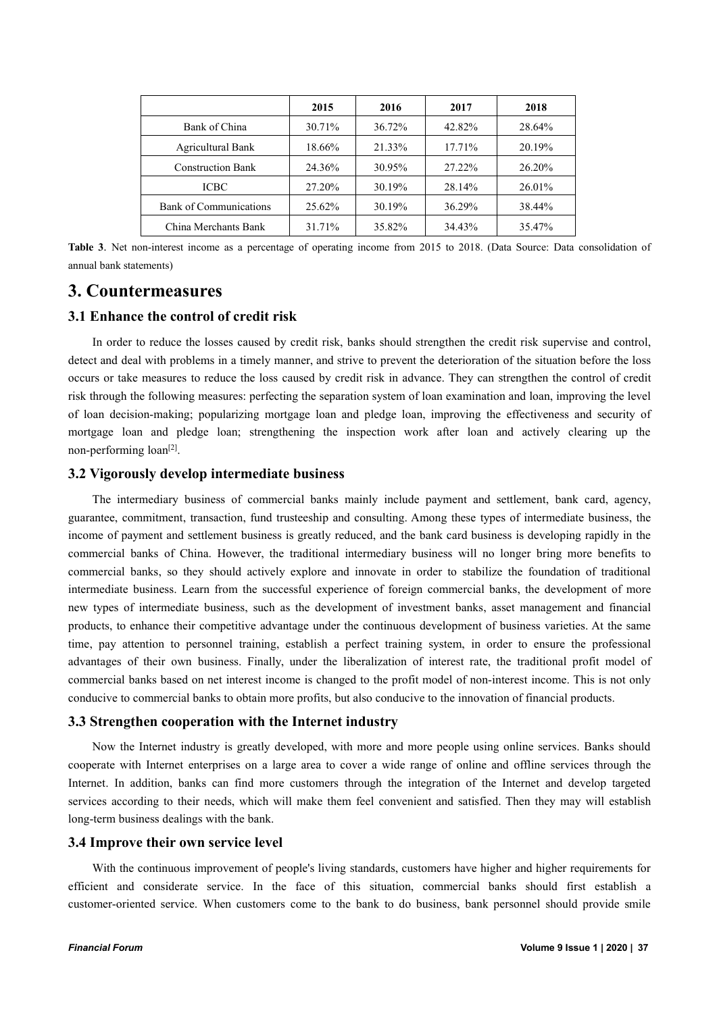|                          | 2015   | 2016   | 2017   | 2018   |
|--------------------------|--------|--------|--------|--------|
| Bank of China            | 30.71% | 36.72% | 42.82% | 28.64% |
| <b>Agricultural Bank</b> | 18.66% | 21.33% | 17.71% | 20.19% |
| <b>Construction Bank</b> | 24.36% | 30.95% | 27.22% | 26.20% |
| <b>ICBC</b>              | 27.20% | 30.19% | 28.14% | 26.01% |
| Bank of Communications   | 25.62% | 30.19% | 36.29% | 38.44% |
| China Merchants Bank     | 31.71% | 35.82% | 34.43% | 35.47% |

**Table 3**. Net non-interest income as a percentage of operating income from 2015 to 2018. (Data Source: Data consolidation of annual bank statements)

## **3. Countermeasures**

#### **3.1 Enhance the control of credit risk**

In order to reduce the losses caused by credit risk, banks should strengthen the credit risk supervise and control, detect and deal with problems in a timely manner, and strive to prevent the deterioration of the situation before the loss occurs or take measures to reduce the loss caused by credit risk in advance. They can strengthen the controlof credit risk through the following measures: perfecting the separation system of loan examination and loan, improving the level of loan decision-making; popularizing mortgage loan and pledge loan, improving the effectiveness and security of mortgage loan and pledge loan; strengthening the inspection work after loan and actively clearing up the non-performing loan<sup>[2]</sup>.

#### **3.2 Vigorously develop intermediate business**

The intermediary business of commercial banks mainly include payment and settlement, bank card, agency, guarantee, commitment, transaction, fund trusteeship and consulting. Among these types of intermediate business, the income of payment and settlement business is greatly reduced, and the bank card business is developing rapidly in the commercial banks of China. However, the traditional intermediary business will no longer bring more benefits to commercial banks, so they should actively explore and innovate in order to stabilize the foundation of traditional intermediate business. Learn from the successful experience of foreign commercial banks, the development of more new types of intermediate business, such as the development of investment banks, asset management and financial products, to enhance their competitive advantage under the continuous development of business varieties. At the same time, pay attention to personnel training, establish a perfect training system, in order to ensure the professional advantages of their own business. Finally, under the liberalization of interest rate, the traditional profit model of commercial banks based on net interest income is changed to the profit model of non-interest income. This is not only conducive to commercial banks to obtain more profits, but also conducive to the innovation of financial products.

#### **3.3 Strengthen cooperation with the Internet industry**

Now the Internet industry is greatly developed, with more and more people using online services. Banks should cooperate with Internet enterprises on a large area to cover a wide range of online and offline services through the Internet. In addition, banks can find more customers through the integration of the Internet and develop targeted services according to their needs, which will make them feel convenient and satisfied. Then they may will establish long-term business dealings with the bank.

#### **3.4 Improve their own service level**

With the continuous improvement of people's living standards, customers have higher and higher requirements for efficient and considerate service. In the face of this situation, commercial banks should first establish a customer-oriented service. When customers come to the bank to do business, bank personnel should provide smile